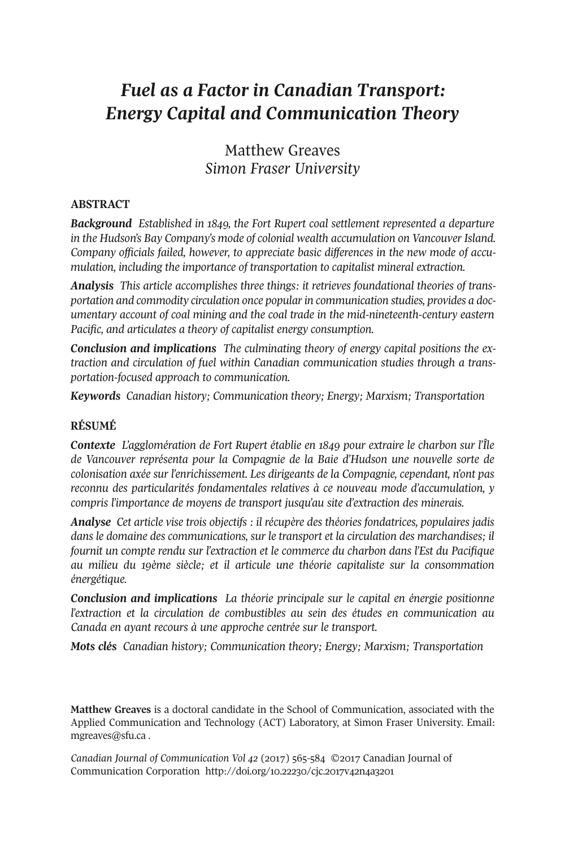# *Fuel as a Factor in Canadian Transport: Energy Capital and Communication Theory*

## Matthew Greaves *Simon Fraser University*

### **ABSTRACT**

*Background Established in 1849, the Fort Rupert coal settlement represented a departure in the Hudson's Bay Company's mode of colonial wealth accumulation on Vancouver Island. Company officials failed, however, to appreciate basic differences in the new mode of accumulation, including the importance of transportation to capitalist mineral extraction.*

*Analysis This article accomplishes three things: it retrieves foundational theories of transportation and commodity circulation once popularin communication studies, provides a documentary account of coal mining and the coal trade in the mid-nineteenth-century eastern Pacific, and articulates a theory of capitalist energy consumption.*

*Conclusion and implications The culminating theory of energy capital positions the extraction and circulation of fuel within Canadian communication studies through a transportation-focused approach to communication.*

*Keywords Canadian history; Communication theory; Energy; Marxism; Transportation*

### **RÉSUMÉ**

*Contexte L'agglomération de Fort Rupert établie en 1849 pour extraire le charbon sur l'Île de Vancouver représenta pour la Compagnie de la Baie d'Hudson une nouvelle sorte de colonisation axée sur l'enrichissement. Les dirigeants de la Compagnie, cependant, n'ont pas reconnu des particularités fondamentales relatives à ce nouveau mode d'accumulation, y compris l'importance de moyens de transport jusqu'au site d'extraction des minerais.*

*Analyse Cet article vise trois objectifs : il récupère des théories fondatrices, populaires jadis dans le domaine des communications, sur le transport et la circulation des marchandises; il fournit un compte rendu sur l'extraction et le commerce du charbon dans l'Est du Pacifique au milieu du 19ème siècle; et il articule une théorie capitaliste sur la consommation énergétique.*

*Conclusion and implications La théorie principale sur le capital en énergie positionne l'extraction et la circulation de combustibles au sein des études en communication au Canada en ayant recours à une approche centrée sur le transport.*

*Mots clés Canadian history; Communication theory; Energy; Marxism; Transportation*

**Matthew Greaves** is a doctoral candidate in the School of Communication, associated with the Applied Communication and Technology (ACT) Laboratory, at Simon Fraser University. Email: [mgreaves@sfu.ca](mailto:mgreaves@sfu.ca) .

*Canadian Journal of [Communication](http://www.cjc-online.ca) Vol 42* (2017) 565-584 ©2017 Canadian Journal of Communication Corporation <http://doi.org/10.22230/cjc.2017v42n4a3201>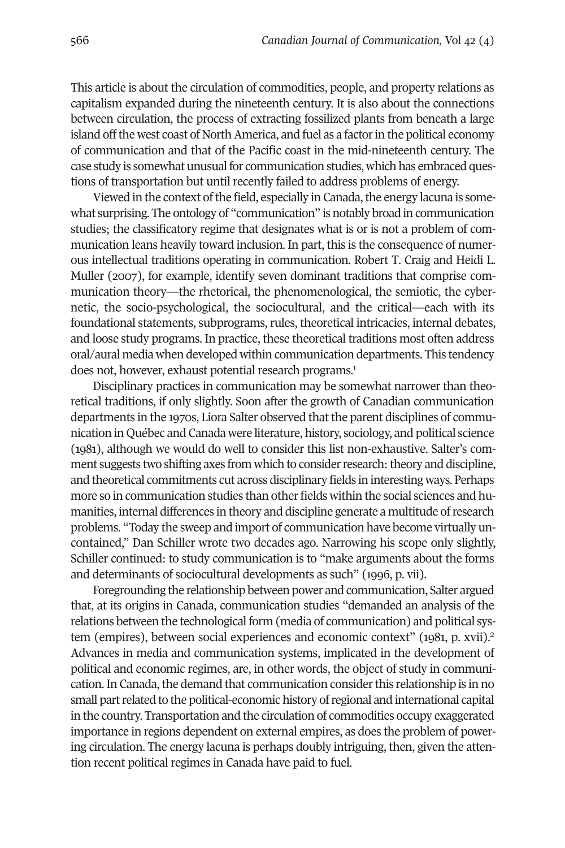This article is about the circulation of commodities, people, and property relations as capitalism expanded during the nineteenth century. It is also about the connections between circulation, the process of extracting fossilized plants from beneath a large island off the west coast of North America, and fuel as a factor in the political economy of communication and that of the Pacific coast in the mid-nineteenth century. The case study is somewhat unusual for communication studies, which has embraced questions of transportation but until recently failed to address problems of energy.

Viewed in the context of the field, especially in Canada, the energy lacuna is somewhat surprising. The ontology of "communication" is notably broad in communication studies; the classificatory regime that designates what is or is not a problem of communication leans heavily toward inclusion. In part, this is the consequence of numerous intellectual traditions operating in communication. Robert T. Craig and Heidi L. Muller (2007), for example, identify seven dominant traditions that comprise communication theory—the rhetorical, the phenomenological, the semiotic, the cybernetic, the socio-psychological, the sociocultural, and the critical—each with its foundational statements, subprograms, rules, theoretical intricacies, internal debates, and loose study programs. In practice, these theoretical traditions most often address oral/aural media when developed within communication departments. This tendency does not, however, exhaust potential research programs. 1

Disciplinary practices in communication may be somewhat narrower than theoretical traditions, if only slightly. Soon after the growth of Canadian communication departments in the 1970s, Liora Salter observed that the parent disciplines of communication in Québec and Canada were literature, history, sociology, and political science (1981), although we would do well to consider this list non-exhaustive. Salter's comment suggests two shifting axes from which to consider research: theory and discipline, and theoretical commitments cut across disciplinary fields in interesting ways. Perhaps more so in communication studies than other fields within the social sciences and humanities, internal differences in theory and discipline generate a multitude ofresearch problems. "Today the sweep and import of communication have become virtually uncontained," Dan Schiller wrote two decades ago. Narrowing his scope only slightly, Schiller continued: to study communication is to "make arguments about the forms and determinants of sociocultural developments as such" (1996, p. vii).

Foregrounding the relationship between power and communication, Salter argued that, at its origins in Canada, communication studies "demanded an analysis of the relations between the technological form (media of communication) and political system (empires), between social experiences and economic context" (1981, p. xvii). [2](#page-17-0) Advances in media and communication systems, implicated in the development of political and economic regimes, are, in other words, the object of study in communication. In Canada, the demand that communication consider this relationship is in no small part related to the political-economic history of regional and international capital in the country. Transportation and the circulation of commodities occupy exaggerated importance in regions dependent on external empires, as does the problem of powering circulation. The energy lacuna is perhaps doubly intriguing, then, given the attention recent political regimes in Canada have paid to fuel.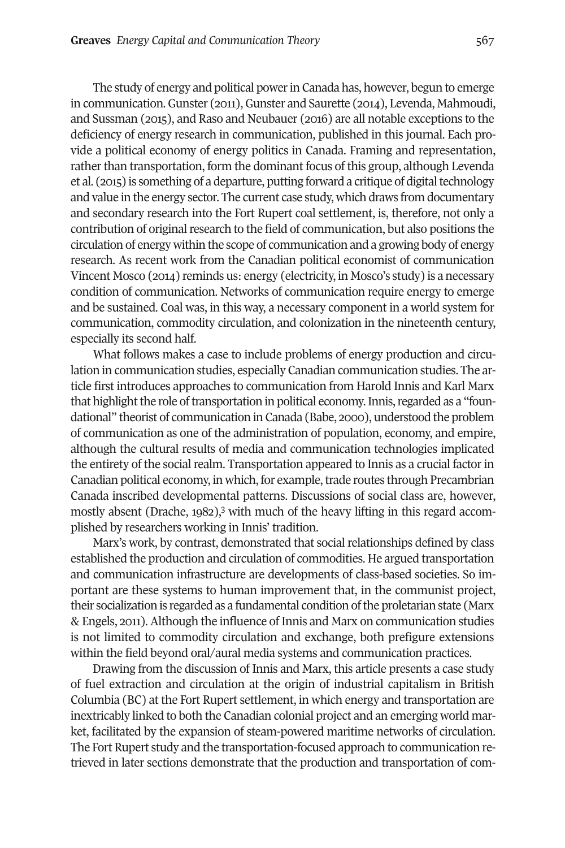The study of energy and political powerin Canada has, however, begun to emerge in communication. Gunster (2011), Gunster and Saurette (2014), Levenda, Mahmoudi, and Sussman (2015), and Raso and Neubauer (2016) are all notable exceptions to the deficiency of energy research in communication, published in this journal. Each provide a political economy of energy politics in Canada. Framing and representation, rather than transportation, form the dominant focus of this group, although Levenda et al. (2015) is something of a departure, putting forward a critique of digital technology and value in the energy sector. The current case study, which draws from documentary and secondary research into the Fort Rupert coal settlement, is, therefore, not only a contribution of original research to the field of communication, but also positions the circulation of energy within the scope of communication and a growing body of energy research. As recent work from the Canadian political economist of communication Vincent Mosco (2014) reminds us: energy (electricity, in Mosco's study) is a necessary condition of communication. Networks of communication require energy to emerge and be sustained. Coal was, in this way, a necessary component in a world system for communication, commodity circulation, and colonization in the nineteenth century, especially its second half.

What follows makes a case to include problems of energy production and circulation in communication studies, especially Canadian communication studies. The article first introduces approaches to communication from Harold Innis and Karl Marx that highlight the role of transportation in political economy. Innis, regarded as a "foundational" theorist of communication in Canada (Babe, 2000), understood the problem of communication as one of the administration of population, economy, and empire, although the cultural results of media and communication technologies implicated the entirety of the social realm. Transportation appeared to Innis as a crucial factor in Canadian political economy, in which, for example, trade routes through Precambrian Canada inscribed developmental patterns. Discussions of social class are, however, mostly absent (Drache, 1982), [3](#page-17-1) with much of the heavy lifting in this regard accomplished by researchers working in Innis' tradition.

Marx's work, by contrast, demonstrated that social relationships defined by class established the production and circulation of commodities. He argued transportation and communication infrastructure are developments of class-based societies. So important are these systems to human improvement that, in the communist project, their socialization is regarded as a fundamental condition ofthe proletarian state (Marx & Engels, 2011). Although the influence of Innis and Marx on communication studies is not limited to commodity circulation and exchange, both prefigure extensions within the field beyond oral/aural media systems and communication practices.

Drawing from the discussion of Innis and Marx, this article presents a case study of fuel extraction and circulation at the origin of industrial capitalism in British Columbia (BC) at the Fort Rupert settlement, in which energy and transportation are inextricably linked to both the Canadian colonial project and an emerging world market, facilitated by the expansion of steam-powered maritime networks of circulation. The Fort Rupert study and the transportation-focused approach to communication retrieved in later sections demonstrate that the production and transportation of com-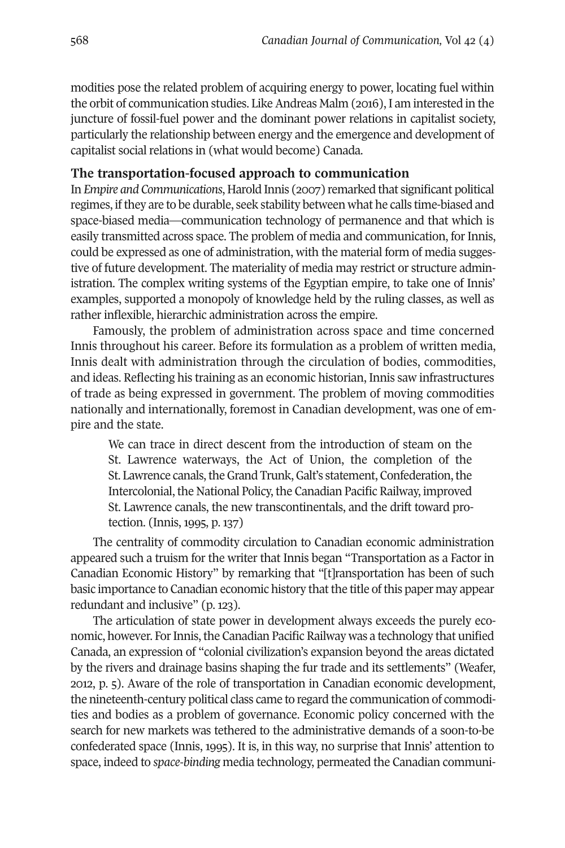modities pose the related problem of acquiring energy to power, locating fuel within the orbit of communication studies. Like Andreas Malm (2016), I am interested in the juncture of fossil-fuel power and the dominant power relations in capitalist society, particularly the relationship between energy and the emergence and development of capitalist social relations in (what would become) Canada.

### **The transportation-focused approach to communication**

In *Empire and Communications*, Harold Innis (2007) remarked that significant political regimes, ifthey are to be durable, seek stability between what he calls time-biased and space-biased media—communication technology of permanence and that which is easily transmitted across space. The problem of media and communication, for Innis, could be expressed as one of administration, with the material form of media suggestive of future development. The materiality of media may restrict or structure administration. The complex writing systems of the Egyptian empire, to take one of Innis' examples, supported a monopoly of knowledge held by the ruling classes, as well as rather inflexible, hierarchic administration across the empire.

Famously, the problem of administration across space and time concerned Innis throughout his career. Before its formulation as a problem of written media, Innis dealt with administration through the circulation of bodies, commodities, and ideas. Reflecting his training as an economic historian, Innis saw infrastructures of trade as being expressed in government. The problem of moving commodities nationally and internationally, foremost in Canadian development, was one of empire and the state.

We can trace in direct descent from the introduction of steam on the St. Lawrence waterways, the Act of Union, the completion of the St. Lawrence canals, the Grand Trunk, Galt's statement, Confederation, the Intercolonial, the National Policy, the Canadian Pacific Railway, improved St. Lawrence canals, the new transcontinentals, and the drift toward protection. (Innis, 1995, p. 137)

The centrality of commodity circulation to Canadian economic administration appeared such a truism for the writer that Innis began "Transportation as a Factor in Canadian Economic History" by remarking that "[t]ransportation has been of such basic importance to Canadian economic history that the title of this paper may appear redundant and inclusive" (p. 123).

The articulation of state power in development always exceeds the purely economic, however. For Innis, the Canadian Pacific Railway was a technology that unified Canada, an expression of "colonial civilization's expansion beyond the areas dictated by the rivers and drainage basins shaping the fur trade and its settlements" (Weafer, 2012, p. 5). Aware of the role of transportation in Canadian economic development, the nineteenth-century political class came to regard the communication of commodities and bodies as a problem of governance. Economic policy concerned with the search for new markets was tethered to the administrative demands of a soon-to-be confederated space (Innis, 1995). It is, in this way, no surprise that Innis' attention to space, indeed to *space-binding* media technology, permeated the Canadian communi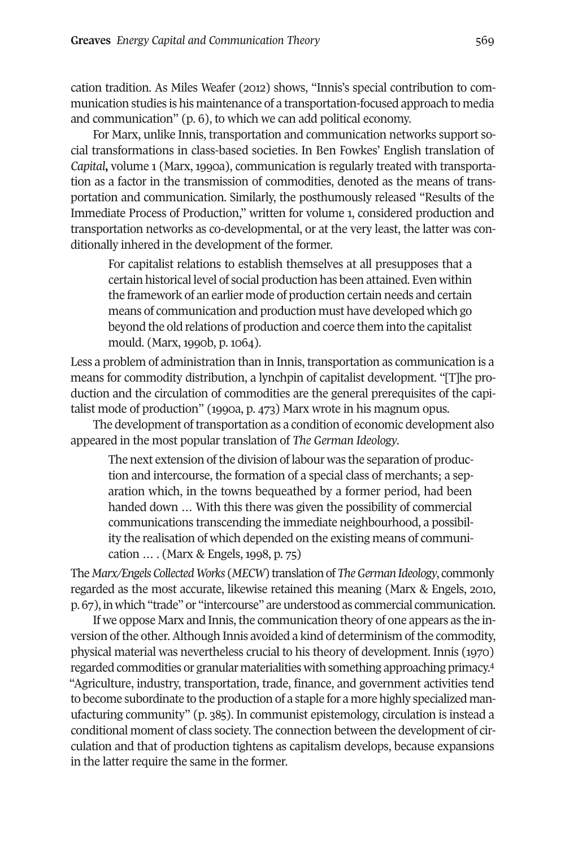cation tradition. As Miles Weafer (2012) shows, "Innis's special contribution to communication studies is his maintenance of a transportation-focused approach to media and communication" (p. 6), to which we can add political economy.

For Marx, unlike Innis, transportation and communication networks support social transformations in class-based societies. In Ben Fowkes' English translation of *Capital***,** volume 1 (Marx, 1990a), communication is regularly treated with transportation as a factor in the transmission of commodities, denoted as the means of transportation and communication. Similarly, the posthumously released "Results of the Immediate Process of Production," written for volume 1, considered production and transportation networks as co-developmental, or at the very least, the latter was conditionally inhered in the development of the former.

For capitalist relations to establish themselves at all presupposes that a certain historical level of social production has been attained. Even within the framework of an earlier mode of production certain needs and certain means of communication and production must have developed which go beyond the old relations of production and coerce them into the capitalist mould. (Marx, 1990b, p. 1064).

Less a problem of administration than in Innis, transportation as communication is a means for commodity distribution, a lynchpin of capitalist development. "[T]he production and the circulation of commodities are the general prerequisites of the capitalist mode of production" (1990a, p. 473) Marx wrote in his magnum opus.

The development of transportation as a condition of economic development also appeared in the most popular translation of *The German Ideology*.

The next extension of the division of labour was the separation of production and intercourse, the formation of a special class of merchants; a separation which, in the towns bequeathed by a former period, had been handed down … With this there was given the possibility of commercial communications transcending the immediate neighbourhood, a possibility the realisation of which depended on the existing means of communication … . (Marx & Engels, 1998, p. 75)

The*Marx/EngelsCollectedWorks* (*MECW*) translationof*TheGermanIdeology*, commonly regarded as the most accurate, likewise retained this meaning (Marx & Engels, 2010, p. 67), inwhich"trade" or "intercourse" areunderstood as commercial communication.

If we oppose Marx and Innis, the communication theory of one appears as the inversion ofthe other.Although Innis avoided a kind of determinism ofthe commodity, physical material was nevertheless crucial to his theory of development. Innis (1970) regarded commodities or granular materialities with something approaching primacy. [4](#page-17-2) "Agriculture, industry, transportation, trade, finance, and government activities tend to become subordinate to the production of a staple for a more highly specialized manufacturing community" (p. 385). In communist epistemology, circulation is instead a conditional moment of class society. The connection between the development of circulation and that of production tightens as capitalism develops, because expansions in the latter require the same in the former.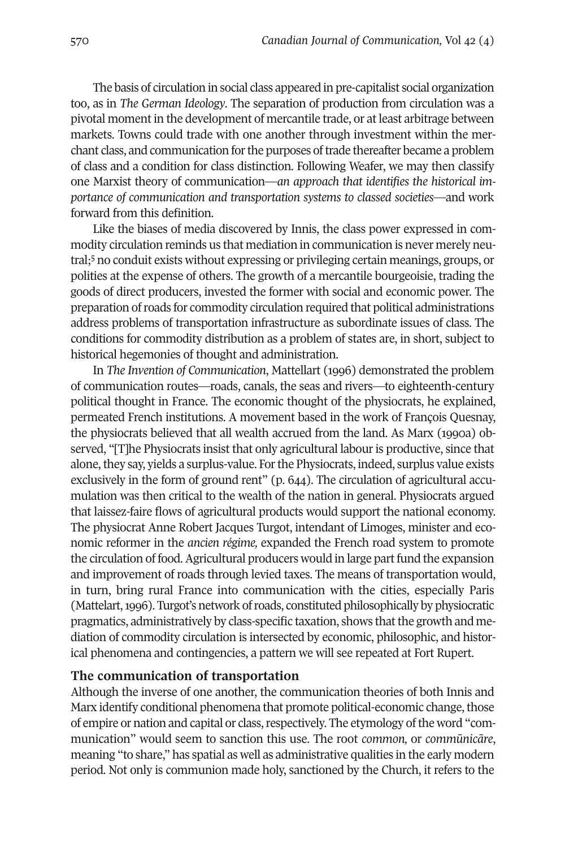The basis of circulation in social class appeared in pre-capitalist social organization too, as in *The German Ideology*. The separation of production from circulation was a pivotal moment in the development of mercantile trade, or at least arbitrage between markets. Towns could trade with one another through investment within the merchant class, and communication forthe purposes oftrade thereafter became a problem of class and a condition for class distinction. Following Weafer, we may then classify one Marxist theory of communication—*an approach that identifies the historical importance of communication and transportation systems to classed societies*—and work forward from this definition.

Like the biases of media discovered by Innis, the class power expressed in commodity circulation reminds us that mediation in communication is never merely neutral; [5](#page-17-3) no conduit exists without expressing or privileging certain meanings, groups, or polities at the expense of others. The growth of a mercantile bourgeoisie, trading the goods of direct producers, invested the former with social and economic power. The preparation ofroads for commodity circulation required that political administrations address problems of transportation infrastructure as subordinate issues of class. The conditions for commodity distribution as a problem of states are, in short, subject to historical hegemonies of thought and administration.

In *The Invention of Communication*, Mattellart (1996) demonstrated the problem of communication routes—roads, canals, the seas and rivers—to eighteenth-century political thought in France. The economic thought of the physiocrats, he explained, permeated French institutions. A movement based in the work of François Quesnay, the physiocrats believed that all wealth accrued from the land. As Marx (1990a) observed, "[T]he Physiocrats insist that only agricultural labouris productive, since that alone, they say, yields a surplus-value. For the Physiocrats, indeed, surplus value exists exclusively in the form of ground rent" (p. 644). The circulation of agricultural accumulation was then critical to the wealth of the nation in general. Physiocrats argued that laissez-faire flows of agricultural products would support the national economy. The physiocrat Anne Robert Jacques Turgot, intendant of Limoges, minister and economic reformer in the *ancien régime,* expanded the French road system to promote the circulation of food. Agricultural producers would in large part fund the expansion and improvement of roads through levied taxes. The means of transportation would, in turn, bring rural France into communication with the cities, especially Paris (Mattelart,1996). Turgot's network ofroads, constituted philosophically by physiocratic pragmatics, administratively by class-specific taxation, shows that the growth and mediation of commodity circulation is intersected by economic, philosophic, and historical phenomena and contingencies, a pattern we will see repeated at Fort Rupert.

#### **The communication of transportation**

Although the inverse of one another, the communication theories of both Innis and Marx identify conditional phenomena that promote political-economic change, those of empire or nation and capital or class, respectively. The etymology of the word "communication" would seem to sanction this use. The root *common,* or *commūnicāre*, meaning "to share," has spatial as well as administrative qualities in the early modern period. Not only is communion made holy, sanctioned by the Church, it refers to the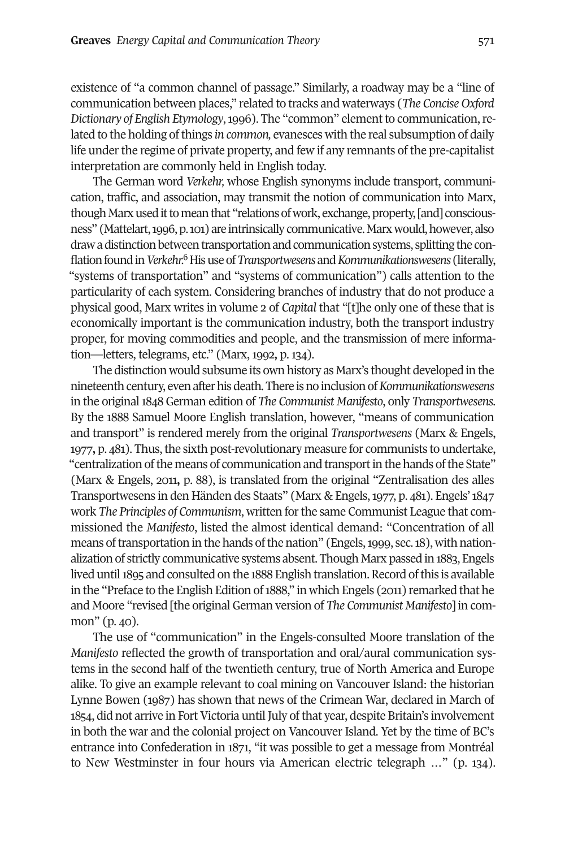existence of "a common channel of passage." Similarly, a roadway may be a "line of communication between places," related to tracks and waterways (*The Concise Oxford Dictionary of English Etymology*,1996). The "common" elementto communication,related to the holding ofthings *in common,* evanesces with the real subsumption of daily life under the regime of private property, and few if any remnants of the pre-capitalist interpretation are commonly held in English today.

The German word *Verkehr,* whose English synonyms include transport, communication, traffic, and association, may transmit the notion of communication into Marx, though Marx used it to mean that "relations of work, exchange, property, [and] consciousness" (Mattelart,1996,p.101) are intrinsically communicative.Marxwould,however, also draw a distinction between transportation and communication systems, splitting the con-flation found in Verkehr.<sup>[6](#page-17-4)</sup> His use of Transportwesens and Kommunikationswesens (literally, "systems of transportation" and "systems of communication") calls attention to the particularity of each system. Considering branches of industry that do not produce a physical good, Marx writes in volume 2 of *Capital* that "[t]he only one of these that is economically important is the communication industry, both the transport industry proper, for moving commodities and people, and the transmission of mere information—letters, telegrams, etc." (Marx, 1992**,** p. 134).

The distinction would subsume its own history as Marx's thought developed in the nineteenth century, even after his death. There is no inclusion of *Kommunikationswesens* in the original 1848 German edition of *The Communist Manifesto*, only *Transportwesens*. By the 1888 Samuel Moore English translation, however, "means of communication and transport" is rendered merely from the original *Transportwesens* (Marx & Engels, 1977, p. 481). Thus, the sixth post-revolutionary measure for communists to undertake, "centralization of the means of communication and transport in the hands of the State" (Marx & Engels, 2011**,** p. 88), is translated from the original "Zentralisation des alles Transportwesens in den Händen des Staats" (Marx & Engels,1977, p. 481). Engels'1847 work *The Principles of Communism*, written forthe same Communist League that commissioned the *Manifesto*, listed the almost identical demand: "Concentration of all means of transportation in the hands of the nation" (Engels, 1999, sec. 18), with nationalization of strictly communicative systems absent. Though Marx passed in 1883, Engels lived until 1895 and consulted on the 1888 English translation. Record of this is available in the "Preface to the English Edition of1888," in which Engels (2011) remarked that he and Moore "revised [the original German version of *The Communist Manifesto*] in common" (p. 40).

The use of "communication" in the Engels-consulted Moore translation of the *Manifesto* reflected the growth of transportation and oral/aural communication systems in the second half of the twentieth century, true of North America and Europe alike. To give an example relevant to coal mining on Vancouver Island: the historian Lynne Bowen (1987) has shown that news of the Crimean War, declared in March of 1854, did not arrive in Fort Victoria until July of that year, despite Britain's involvement in both the war and the colonial project on Vancouver Island. Yet by the time of BC's entrance into Confederation in 1871, "it was possible to get a message from Montréal to New Westminster in four hours via American electric telegraph …" (p. 134).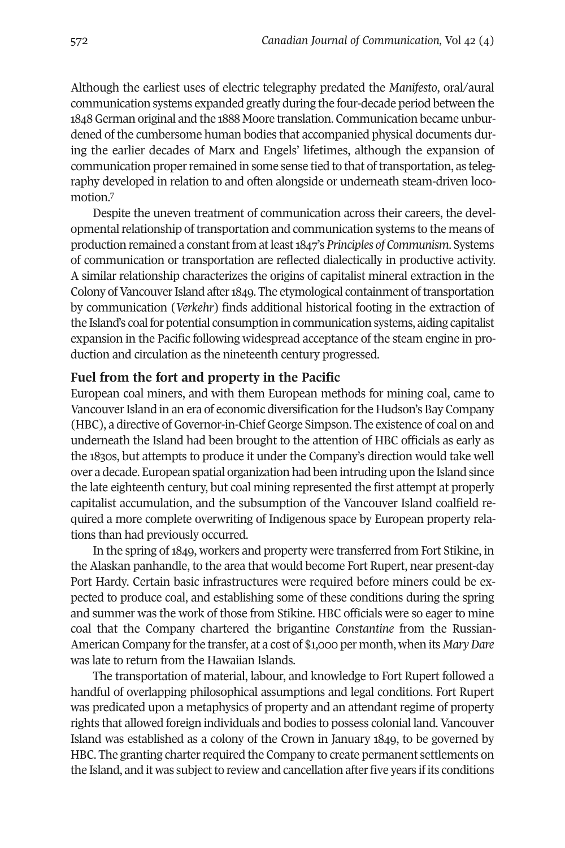Although the earliest uses of electric telegraphy predated the *Manifesto*, oral/aural communication systems expanded greatly during the four-decade period between the 1848German original and the 1888 Moore translation. Communication became unburdened of the cumbersome human bodies that accompanied physical documents during the earlier decades of Marx and Engels' lifetimes, although the expansion of communication proper remained in some sense tied to that of transportation, as telegraphy developed in relation to and often alongside or underneath steam-driven locomotion. [7](#page-17-5)

Despite the uneven treatment of communication across their careers, the developmental relationship of transportation and communication systems to the means of production remained a constantfrom atleast1847's *Principles of Communism*. Systems of communication or transportation are reflected dialectically in productive activity. A similar relationship characterizes the origins of capitalist mineral extraction in the Colony of Vancouver Island after 1849. The etymological containment of transportation by communication (*Verkehr*) finds additional historical footing in the extraction of the Island's coal for potential consumption in communication systems, aiding capitalist expansion in the Pacific following widespread acceptance of the steam engine in production and circulation as the nineteenth century progressed.

#### **Fuel from the fort and property in the Pacific**

European coal miners, and with them European methods for mining coal, came to Vancouver Island in an era of economic diversification for the Hudson's Bay Company (HBC), a directive of Governor-in-Chief George Simpson. The existence of coal on and underneath the Island had been brought to the attention of HBC officials as early as the 1830s, but attempts to produce it under the Company's direction would take well over a decade. European spatial organization had been intruding upon the Island since the late eighteenth century, but coal mining represented the first attempt at properly capitalist accumulation, and the subsumption of the Vancouver Island coalfield required a more complete overwriting of Indigenous space by European property relations than had previously occurred.

In the spring of 1849, workers and property were transferred from Fort Stikine, in the Alaskan panhandle, to the area that would become Fort Rupert, near present-day Port Hardy. Certain basic infrastructures were required before miners could be expected to produce coal, and establishing some of these conditions during the spring and summer was the work of those from Stikine. HBC officials were so eager to mine coal that the Company chartered the brigantine *Constantine* from the Russian-American Company for the transfer, at a cost of \$1,000 per month, when its *Mary Dare* was late to return from the Hawaiian Islands.

The transportation of material, labour, and knowledge to Fort Rupert followed a handful of overlapping philosophical assumptions and legal conditions. Fort Rupert was predicated upon a metaphysics of property and an attendant regime of property rights that allowed foreign individuals and bodies to possess colonial land. Vancouver Island was established as a colony of the Crown in January 1849, to be governed by HBC. The granting charter required the Company to create permanent settlements on the Island, and it was subject to review and cancellation after five years if its conditions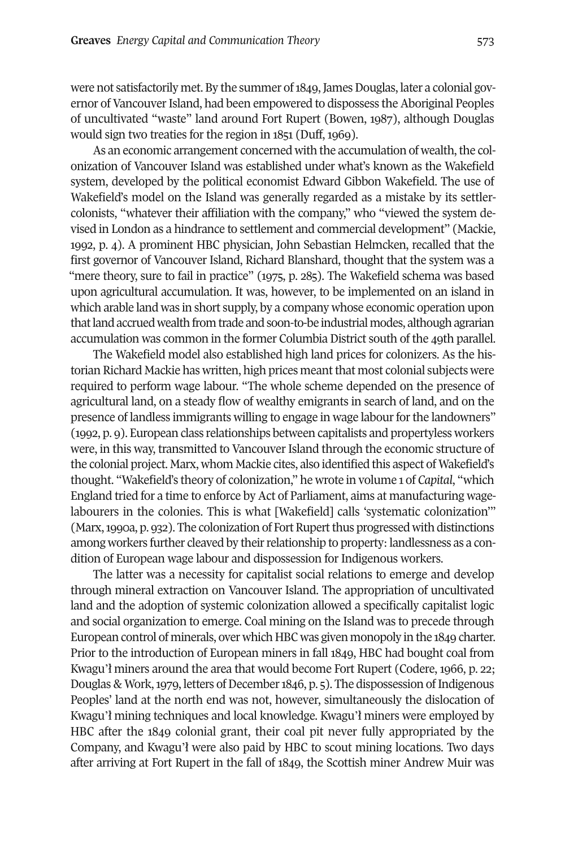were not satisfactorily met. By the summer of 1849, James Douglas, later a colonial governor of Vancouver Island, had been empowered to dispossess the Aboriginal Peoples of uncultivated "waste" land around Fort Rupert (Bowen, 1987), although Douglas would sign two treaties for the region in 1851 (Duff, 1969).

As an economic arrangement concerned with the accumulation of wealth, the colonization of Vancouver Island was established under what's known as the Wakefield system, developed by the political economist Edward Gibbon Wakefield. The use of Wakefield's model on the Island was generally regarded as a mistake by its settlercolonists, "whatever their affiliation with the company," who "viewed the system devised in London as a hindrance to settlement and commercial development" (Mackie, 1992, p. 4). A prominent HBC physician, John Sebastian Helmcken, recalled that the first governor of Vancouver Island, Richard Blanshard, thought that the system was a "mere theory, sure to fail in practice" (1975, p. 285). The Wakefield schema was based upon agricultural accumulation. It was, however, to be implemented on an island in which arable land was in short supply, by a company whose economic operation upon that land accrued wealth from trade and soon-to-be industrial modes, although agrarian accumulation was common in the former Columbia District south of the 49th parallel.

The Wakefield model also established high land prices for colonizers. As the historian Richard Mackie has written, high prices meantthat most colonial subjects were required to perform wage labour. "The whole scheme depended on the presence of agricultural land, on a steady flow of wealthy emigrants in search of land, and on the presence of landless immigrants willing to engage in wage labour for the landowners" (1992, p. 9). European class relationships between capitalists and propertyless workers were, in this way, transmitted to Vancouver Island through the economic structure of the colonial project. Marx, whom Mackie cites, also identified this aspect of Wakefield's thought. "Wakefield's theory of colonization," he wrote in volume 1 of *Capital*, "which England tried for a time to enforce by Act of Parliament, aims at manufacturing wagelabourers in the colonies. This is what [Wakefield] calls 'systematic colonization'" (Marx, 1990a, p. 932). The colonization of Fort Rupert thus progressed with distinctions among workers further cleaved by their relationship to property: landlessness as a condition of European wage labour and dispossession for Indigenous workers.

The latter was a necessity for capitalist social relations to emerge and develop through mineral extraction on Vancouver Island. The appropriation of uncultivated land and the adoption of systemic colonization allowed a specifically capitalist logic and social organization to emerge. Coal mining on the Island was to precede through European control of minerals, over which HBC was given monopoly in the 1849 charter. Prior to the introduction of European miners in fall 1849, HBC had bought coal from Kwagu'ł miners around the area that would become Fort Rupert (Codere, 1966, p. 22; Douglas & Work, 1979, letters of December 1846, p. 5). The dispossession of Indigenous Peoples' land at the north end was not, however, simultaneously the dislocation of Kwagu'ł mining techniques and local knowledge. Kwagu'ł miners were employed by HBC after the 1849 colonial grant, their coal pit never fully appropriated by the Company, and Kwagu'ł were also paid by HBC to scout mining locations. Two days after arriving at Fort Rupert in the fall of 1849, the Scottish miner Andrew Muir was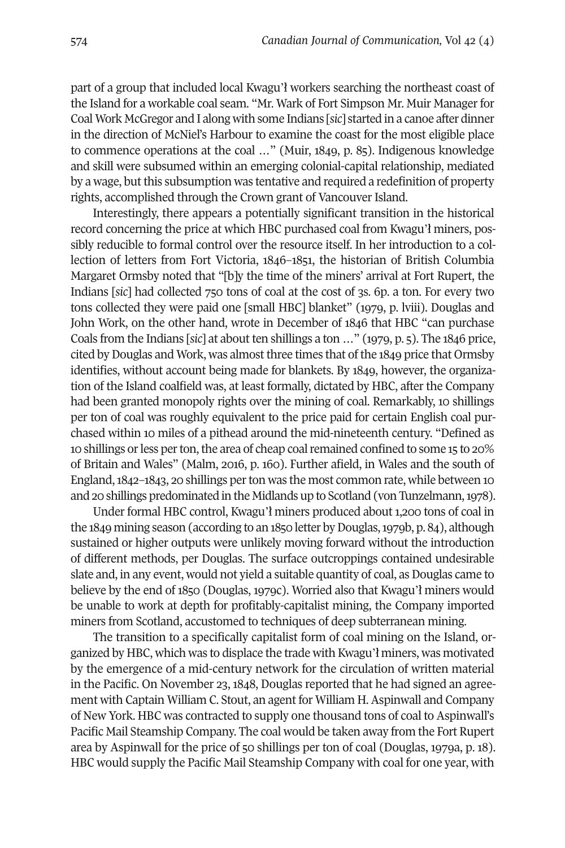part of a group that included local Kwagu'ł workers searching the northeast coast of the Island for a workable coal seam. "Mr. Wark of Fort Simpson Mr. Muir Manager for Coal Work McGregor and I along with some Indians [*sic*] started in a canoe after dinner in the direction of McNiel's Harbour to examine the coast for the most eligible place to commence operations at the coal …" (Muir, 1849, p. 85). Indigenous knowledge and skill were subsumed within an emerging colonial-capital relationship, mediated by a wage, but this subsumption was tentative and required a redefinition of property rights, accomplished through the Crown grant of Vancouver Island.

Interestingly, there appears a potentially significant transition in the historical record concerning the price at which HBC purchased coal from Kwagu'ł miners, possibly reducible to formal control over the resource itself. In her introduction to a collection of letters from Fort Victoria, 1846–1851, the historian of British Columbia Margaret Ormsby noted that "[b]y the time of the miners' arrival at Fort Rupert, the Indians [*sic*] had collected 750 tons of coal at the cost of 3s. 6p. a ton. For every two tons collected they were paid one [small HBC] blanket" (1979, p. lviii). Douglas and John Work, on the other hand, wrote in December of 1846 that HBC "can purchase Coals from the Indians [*sic*] at about ten shillings a ton …" (1979, p. 5). The 1846 price, cited by Douglas and Work, was almost three times that of the 1849 price that Ormsby identifies, without account being made for blankets. By 1849, however, the organization of the Island coalfield was, at least formally, dictated by HBC, after the Company had been granted monopoly rights over the mining of coal. Remarkably, 10 shillings per ton of coal was roughly equivalent to the price paid for certain English coal purchased within 10 miles of a pithead around the mid-nineteenth century. "Defined as 10 shillings or less per ton, the area of cheap coal remained confined to some 15 to 20% of Britain and Wales" (Malm, 2016, p. 160). Further afield, in Wales and the south of England,1842–1843, 20 shillings perton was the most common rate, while between 10 and 20 shillings predominated in the Midlands up to Scotland (von Tunzelmann, 1978).

Under formal HBC control, Kwagu'ł miners produced about 1,200 tons of coal in the 1849 mining season (according to an 1850 letter by Douglas, 1979b, p. 84), although sustained or higher outputs were unlikely moving forward without the introduction of different methods, per Douglas. The surface outcroppings contained undesirable slate and, in any event, would not yield a suitable quantity of coal, as Douglas came to believe by the end of 1850 (Douglas, 1979c). Worried also that Kwagu'ł miners would be unable to work at depth for profitably-capitalist mining, the Company imported miners from Scotland, accustomed to techniques of deep subterranean mining.

The transition to a specifically capitalist form of coal mining on the Island, organized by HBC, which was to displace the trade with Kwagu'ł miners, was motivated by the emergence of a mid-century network for the circulation of written material in the Pacific. On November 23, 1848, Douglas reported that he had signed an agreement with Captain William C. Stout, an agent for William H. Aspinwall and Company of New York. HBC was contracted to supply one thousand tons of coal to Aspinwall's Pacific Mail Steamship Company. The coal would be taken away from the Fort Rupert area by Aspinwall for the price of 50 shillings per ton of coal (Douglas, 1979a, p. 18). HBC would supply the Pacific Mail Steamship Company with coal for one year, with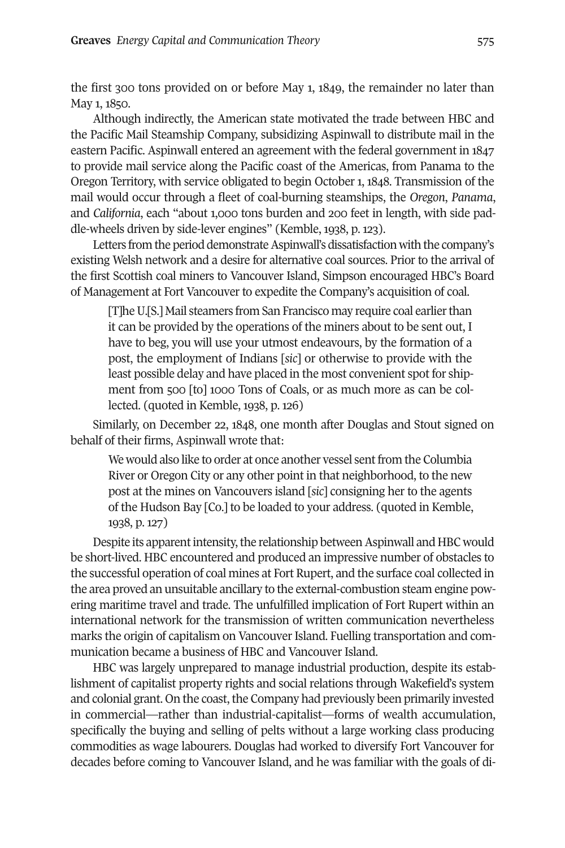the first 300 tons provided on or before May 1, 1849, the remainder no later than May 1, 1850.

Although indirectly, the American state motivated the trade between HBC and the Pacific Mail Steamship Company, subsidizing Aspinwall to distribute mail in the eastern Pacific. Aspinwall entered an agreement with the federal government in 1847 to provide mail service along the Pacific coast of the Americas, from Panama to the Oregon Territory, with service obligated to begin October 1, 1848. Transmission of the mail would occur through a fleet of coal-burning steamships, the *Oregon*, *Panama*, and *California*, each "about 1,000 tons burden and 200 feet in length, with side paddle-wheels driven by side-lever engines" (Kemble, 1938, p. 123).

Letters from the period demonstrate Aspinwall's dissatisfaction with the company's existing Welsh network and a desire for alternative coal sources. Prior to the arrival of the first Scottish coal miners to Vancouver Island, Simpson encouraged HBC's Board of Management at Fort Vancouver to expedite the Company's acquisition of coal.

[T]he U.[S.] Mail steamers from San Francisco may require coal earlier than it can be provided by the operations of the miners about to be sent out, I have to beg, you will use your utmost endeavours, by the formation of a post, the employment of Indians [*sic*] or otherwise to provide with the least possible delay and have placed in the most convenient spot for shipment from 500 [to] 1000 Tons of Coals, or as much more as can be collected. (quoted in Kemble, 1938, p. 126)

Similarly, on December 22, 1848, one month after Douglas and Stout signed on behalf of their firms, Aspinwall wrote that:

We would also like to order at once another vessel sent from the Columbia River or Oregon City or any other point in that neighborhood, to the new post at the mines on Vancouvers island [*sic*] consigning her to the agents of the Hudson Bay [Co.] to be loaded to your address. (quoted in Kemble, 1938, p. 127)

Despite its apparent intensity, the relationship between Aspinwall and HBC would be short-lived. HBC encountered and produced an impressive number of obstacles to the successful operation of coal mines at Fort Rupert, and the surface coal collected in the area proved an unsuitable ancillary to the external-combustion steam engine powering maritime travel and trade. The unfulfilled implication of Fort Rupert within an international network for the transmission of written communication nevertheless marks the origin of capitalism on Vancouver Island. Fuelling transportation and communication became a business of HBC and Vancouver Island.

HBC was largely unprepared to manage industrial production, despite its establishment of capitalist property rights and social relations through Wakefield's system and colonial grant. On the coast, the Company had previously been primarily invested in commercial—rather than industrial-capitalist—forms of wealth accumulation, specifically the buying and selling of pelts without a large working class producing commodities as wage labourers. Douglas had worked to diversify Fort Vancouver for decades before coming to Vancouver Island, and he was familiar with the goals of di-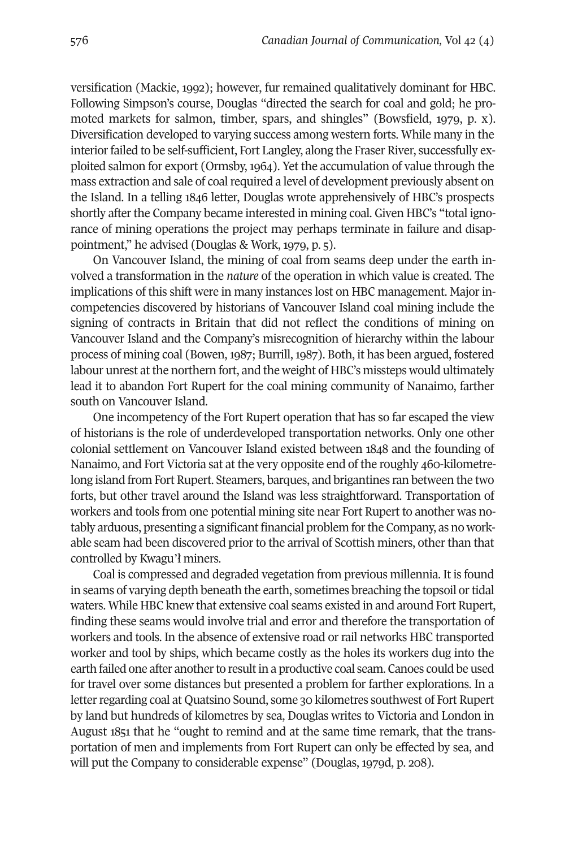versification (Mackie, 1992); however, fur remained qualitatively dominant for HBC. Following Simpson's course, Douglas "directed the search for coal and gold; he promoted markets for salmon, timber, spars, and shingles" (Bowsfield, 1979, p. x). Diversification developed to varying success among western forts. While many in the interior failed to be self-sufficient, Fort Langley, along the Fraser River, successfully exploited salmon for export (Ormsby, 1964). Yet the accumulation of value through the mass extraction and sale of coal required a level of development previously absent on the Island. In a telling 1846 letter, Douglas wrote apprehensively of HBC's prospects shortly after the Company became interested in mining coal. Given HBC's "total ignorance of mining operations the project may perhaps terminate in failure and disappointment," he advised (Douglas & Work, 1979, p. 5).

On Vancouver Island, the mining of coal from seams deep under the earth involved a transformation in the *nature* of the operation in which value is created. The implications of this shift were in many instances lost on HBC management. Major incompetencies discovered by historians of Vancouver Island coal mining include the signing of contracts in Britain that did not reflect the conditions of mining on Vancouver Island and the Company's misrecognition of hierarchy within the labour process of mining coal (Bowen, 1987; Burrill, 1987). Both, it has been argued, fostered labour unrest at the northern fort, and the weight of HBC's missteps would ultimately lead it to abandon Fort Rupert for the coal mining community of Nanaimo, farther south on Vancouver Island.

One incompetency of the Fort Rupert operation that has so far escaped the view of historians is the role of underdeveloped transportation networks. Only one other colonial settlement on Vancouver Island existed between 1848 and the founding of Nanaimo, and Fort Victoria sat at the very opposite end of the roughly 460-kilometrelong island from Fort Rupert. Steamers, barques, and brigantines ran between the two forts, but other travel around the Island was less straightforward. Transportation of workers and tools from one potential mining site near Fort Rupert to another was notably arduous, presenting a significant financial problem forthe Company, as no workable seam had been discovered prior to the arrival of Scottish miners, other than that controlled by Kwagu'ł miners.

Coal is compressed and degraded vegetation from previous millennia. It is found in seams of varying depth beneath the earth, sometimes breaching the topsoil ortidal waters. While HBC knew that extensive coal seams existed in and around Fort Rupert, finding these seams would involve trial and error and therefore the transportation of workers and tools. In the absence of extensive road or rail networks HBC transported worker and tool by ships, which became costly as the holes its workers dug into the earth failed one after another to result in a productive coal seam. Canoes could be used for travel over some distances but presented a problem for farther explorations. In a letterregarding coal at Quatsino Sound, some 30 kilometres southwest of Fort Rupert by land but hundreds of kilometres by sea, Douglas writes to Victoria and London in August 1851 that he "ought to remind and at the same time remark, that the transportation of men and implements from Fort Rupert can only be effected by sea, and will put the Company to considerable expense" (Douglas, 1979d, p. 208).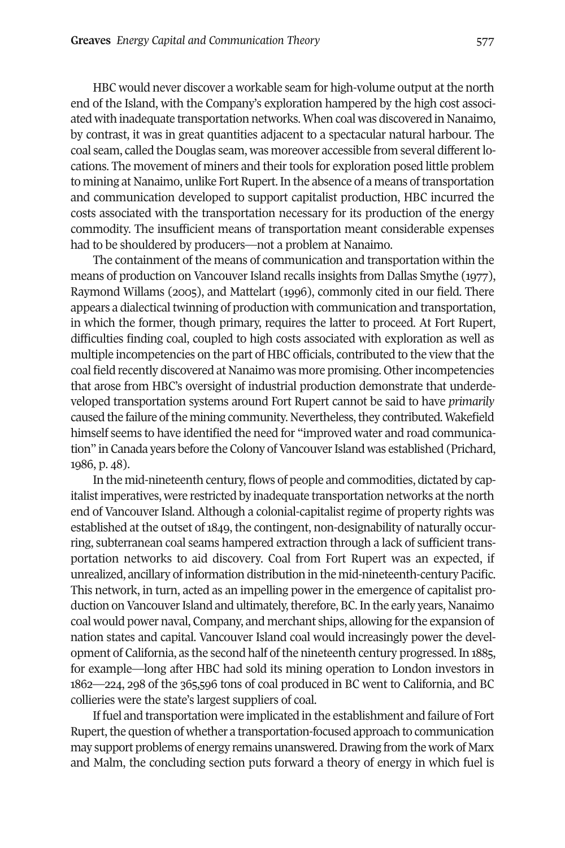HBC would never discover a workable seam for high-volume output at the north end of the Island, with the Company's exploration hampered by the high cost associated with inadequate transportation networks. When coal was discovered in Nanaimo, by contrast, it was in great quantities adjacent to a spectacular natural harbour. The coal seam, called the Douglas seam, was moreover accessible from several different locations. The movement of miners and their tools for exploration posed little problem to mining at Nanaimo, unlike Fort Rupert.In the absence of a means oftransportation and communication developed to support capitalist production, HBC incurred the costs associated with the transportation necessary for its production of the energy commodity. The insufficient means of transportation meant considerable expenses had to be shouldered by producers—not a problem at Nanaimo.

The containment of the means of communication and transportation within the means of production on Vancouver Island recalls insights from Dallas Smythe (1977), Raymond Willams (2005), and Mattelart (1996), commonly cited in our field. There appears a dialectical twinning of production with communication and transportation, in which the former, though primary, requires the latter to proceed. At Fort Rupert, difficulties finding coal, coupled to high costs associated with exploration as well as multiple incompetencies on the part of HBC officials, contributed to the view that the coal field recently discovered at Nanaimo was more promising. Otherincompetencies that arose from HBC's oversight of industrial production demonstrate that underdeveloped transportation systems around Fort Rupert cannot be said to have *primarily* caused the failure ofthe mining community. Nevertheless,they contributed. Wakefield himself seems to have identified the need for "improved water and road communication" in Canada years before the Colony of Vancouver Island was established (Prichard, 1986, p. 48).

In the mid-nineteenth century, flows of people and commodities, dictated by capitalistimperatives, were restricted by inadequate transportation networks atthe north end of Vancouver Island. Although a colonial-capitalist regime of property rights was established at the outset of 1849, the contingent, non-designability of naturally occurring, subterranean coal seams hampered extraction through a lack of sufficient transportation networks to aid discovery. Coal from Fort Rupert was an expected, if unrealized, ancillary of information distribution in the mid-nineteenth-century Pacific. This network, in turn, acted as an impelling power in the emergence of capitalist production on Vancouver Island and ultimately, therefore, BC. In the early years, Nanaimo coal would power naval, Company, and merchant ships, allowing forthe expansion of nation states and capital. Vancouver Island coal would increasingly power the development of California, as the second half of the nineteenth century progressed. In 1885, for example—long after HBC had sold its mining operation to London investors in 1862—224, 298 of the 365,596 tons of coal produced in BC went to California, and BC collieries were the state's largest suppliers of coal.

If fuel and transportation were implicated in the establishment and failure of Fort Rupert, the question of whether a transportation-focused approach to communication may support problems of energy remains unanswered.Drawing from the work of Marx and Malm, the concluding section puts forward a theory of energy in which fuel is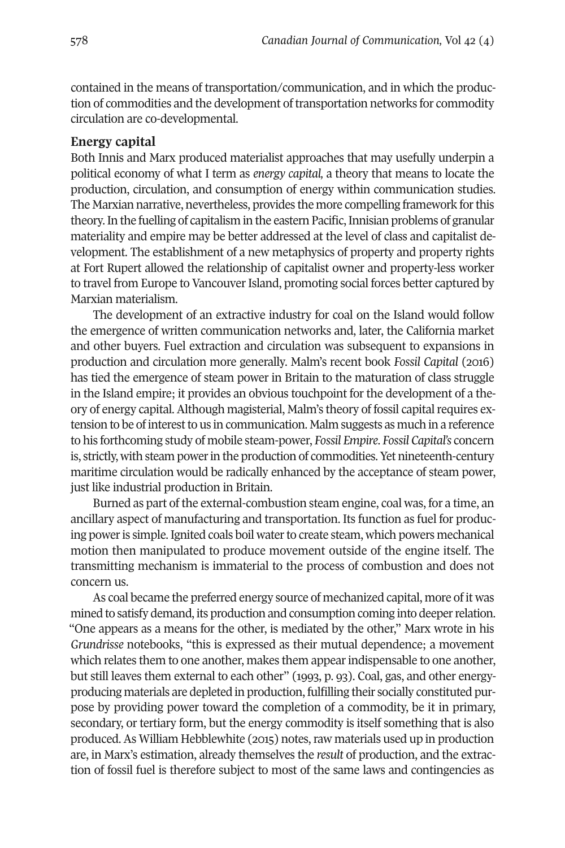contained in the means of transportation/communication, and in which the production of commodities and the development of transportation networks for commodity circulation are co-developmental.

#### **Energy capital**

Both Innis and Marx produced materialist approaches that may usefully underpin a political economy of what I term as *energy capital,* a theory that means to locate the production, circulation, and consumption of energy within communication studies. The Marxian narrative, nevertheless, provides the more compelling framework forthis theory. In the fuelling of capitalism in the eastern Pacific, Innisian problems of granular materiality and empire may be better addressed at the level of class and capitalist development. The establishment of a new metaphysics of property and property rights at Fort Rupert allowed the relationship of capitalist owner and property-less worker to travel from Europe to Vancouver Island, promoting social forces better captured by Marxian materialism.

The development of an extractive industry for coal on the Island would follow the emergence of written communication networks and, later, the California market and other buyers. Fuel extraction and circulation was subsequent to expansions in production and circulation more generally. Malm's recent book *Fossil Capital* (2016) has tied the emergence of steam power in Britain to the maturation of class struggle in the Island empire; it provides an obvious touchpoint for the development of a theory of energy capital. Although magisterial, Malm's theory of fossil capitalrequires extension to be of interest to us in communication. Malm suggests as much in a reference to his forthcoming study of mobile steam-power, *Fossil Empire*. *Fossil Capital's* concern is, strictly, with steam power in the production of commodities. Yet nineteenth-century maritime circulation would be radically enhanced by the acceptance of steam power, just like industrial production in Britain.

Burned as part of the external-combustion steam engine, coal was, for a time, an ancillary aspect of manufacturing and transportation. Its function as fuel for producing power is simple. Ignited coals boil water to create steam, which powers mechanical motion then manipulated to produce movement outside of the engine itself. The transmitting mechanism is immaterial to the process of combustion and does not concern us.

As coal became the preferred energy source of mechanized capital, more of it was mined to satisfy demand, its production and consumption coming into deeperrelation. "One appears as a means for the other, is mediated by the other," Marx wrote in his *Grundrisse* notebooks, "this is expressed as their mutual dependence; a movement which relates them to one another, makes them appearindispensable to one another, but still leaves them external to each other" (1993, p. 93). Coal, gas, and other energyproducing materials are depleted in production, fulfilling their socially constituted purpose by providing power toward the completion of a commodity, be it in primary, secondary, or tertiary form, but the energy commodity is itself something that is also produced. As William Hebblewhite (2015) notes,raw materials used up in production are, in Marx's estimation, already themselves the *result* of production, and the extraction of fossil fuel is therefore subject to most of the same laws and contingencies as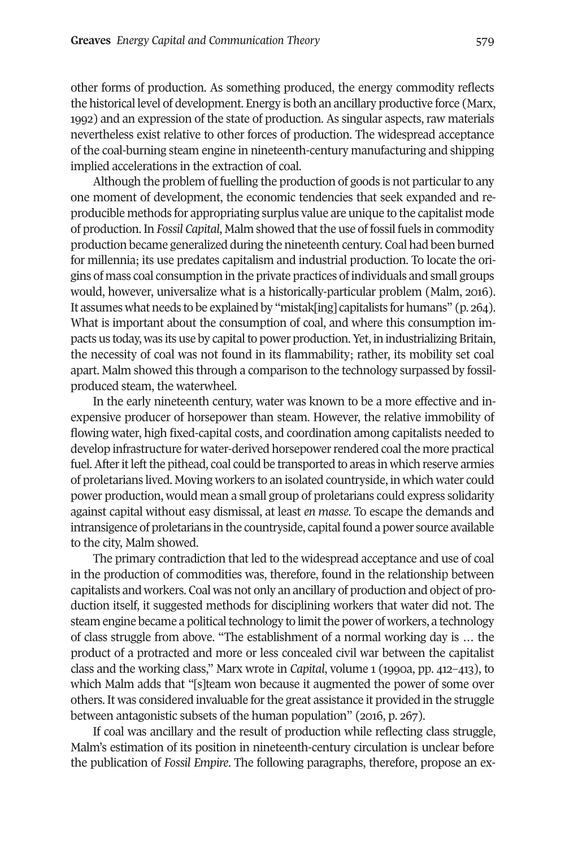other forms of production. As something produced, the energy commodity reflects the historical level of development. Energy is both an ancillary productive force (Marx, 1992) and an expression of the state of production. As singular aspects, raw materials nevertheless exist relative to other forces of production. The widespread acceptance of the coal-burning steam engine in nineteenth-century manufacturing and shipping implied accelerations in the extraction of coal.

Although the problem of fuelling the production of goods is not particular to any one moment of development, the economic tendencies that seek expanded and reproducible methods for appropriating surplus value are unique to the capitalist mode of production.In *Fossil Capital*, Malm showed thatthe use of fossil fuels in commodity production became generalized during the nineteenth century. Coal had been burned for millennia; its use predates capitalism and industrial production. To locate the origins of mass coal consumption in the private practices of individuals and small groups would, however, universalize what is a historically-particular problem (Malm, 2016). It assumes what needs to be explained by "mistak[ing] capitalists for humans" (p. 264). What is important about the consumption of coal, and where this consumption impacts us today, was its use by capital to power production. Yet, in industrializing Britain, the necessity of coal was not found in its flammability; rather, its mobility set coal apart. Malm showed this through a comparison to the technology surpassed by fossilproduced steam, the waterwheel.

In the early nineteenth century, water was known to be a more effective and inexpensive producer of horsepower than steam. However, the relative immobility of flowing water, high fixed-capital costs, and coordination among capitalists needed to develop infrastructure for water-derived horsepower rendered coal the more practical fuel. After it left the pithead, coal could be transported to areas in which reserve armies of proletarians lived. Moving workers to an isolated countryside, in which water could power production, would mean a small group of proletarians could express solidarity against capital without easy dismissal, at least *en masse*. To escape the demands and intransigence of proletarians in the countryside, capital found a power source available to the city, Malm showed.

The primary contradiction that led to the widespread acceptance and use of coal in the production of commodities was, therefore, found in the relationship between capitalists and workers. Coal was not only an ancillary of production and object of production itself, it suggested methods for disciplining workers that water did not. The steam engine became a political technology to limit the power of workers, a technology of class struggle from above. "The establishment of a normal working day is … the product of a protracted and more or less concealed civil war between the capitalist class and the working class," Marx wrote in *Capital*, volume 1 (1990a, pp. 412–413), to which Malm adds that "[s]team won because it augmented the power of some over others. It was considered invaluable forthe great assistance it provided in the struggle between antagonistic subsets of the human population" (2016, p. 267).

If coal was ancillary and the result of production while reflecting class struggle, Malm's estimation of its position in nineteenth-century circulation is unclear before the publication of *Fossil Empire*. The following paragraphs, therefore, propose an ex-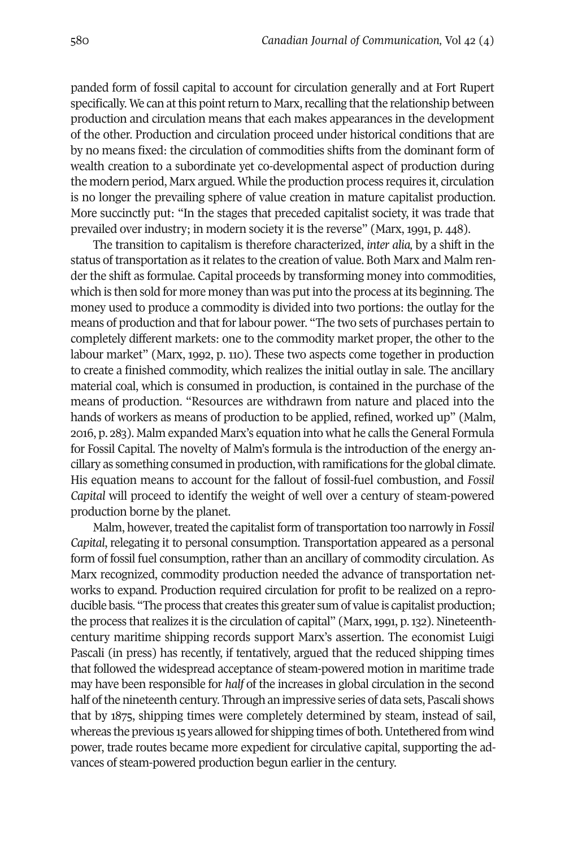panded form of fossil capital to account for circulation generally and at Fort Rupert specifically. We can at this point return to Marx, recalling that the relationship between production and circulation means that each makes appearances in the development of the other. Production and circulation proceed under historical conditions that are by no means fixed: the circulation of commodities shifts from the dominant form of wealth creation to a subordinate yet co-developmental aspect of production during the modern period, Marx argued. While the production process requires it, circulation is no longer the prevailing sphere of value creation in mature capitalist production. More succinctly put: "In the stages that preceded capitalist society, it was trade that prevailed over industry; in modern society it is the reverse" (Marx, 1991, p. 448).

The transition to capitalism is therefore characterized, *inter alia,* by a shift in the status of transportation as it relates to the creation of value. Both Marx and Malm render the shift as formulae. Capital proceeds by transforming money into commodities, which is then sold for more money than was put into the process at its beginning. The money used to produce a commodity is divided into two portions: the outlay for the means of production and that for labour power. "The two sets of purchases pertain to completely different markets: one to the commodity market proper, the other to the labour market" (Marx, 1992, p. 110). These two aspects come together in production to create a finished commodity, which realizes the initial outlay in sale. The ancillary material coal, which is consumed in production, is contained in the purchase of the means of production. "Resources are withdrawn from nature and placed into the hands of workers as means of production to be applied, refined, worked up" (Malm, 2016, p. 283). Malm expanded Marx's equation into what he calls the General Formula for Fossil Capital. The novelty of Malm's formula is the introduction of the energy ancillary as something consumed in production, with ramifications forthe global climate. His equation means to account for the fallout of fossil-fuel combustion, and *Fossil Capital* will proceed to identify the weight of well over a century of steam-powered production borne by the planet.

Malm, however, treated the capitalist form of transportation too narrowly in *Fossil Capital*, relegating it to personal consumption. Transportation appeared as a personal form of fossil fuel consumption, rather than an ancillary of commodity circulation. As Marx recognized, commodity production needed the advance of transportation networks to expand. Production required circulation for profit to be realized on a reproducible basis. "The process that creates this greater sum of value is capitalist production; the process that realizes it is the circulation of capital" (Marx, 1991, p. 132). Nineteenthcentury maritime shipping records support Marx's assertion. The economist Luigi Pascali (in press) has recently, if tentatively, argued that the reduced shipping times that followed the widespread acceptance of steam-powered motion in maritime trade may have been responsible for *half* of the increases in global circulation in the second half ofthe nineteenth century. Through an impressive series of data sets, Pascali shows that by 1875, shipping times were completely determined by steam, instead of sail, whereas the previous 15 years allowed for shipping times of both. Untethered from wind power, trade routes became more expedient for circulative capital, supporting the advances of steam-powered production begun earlier in the century.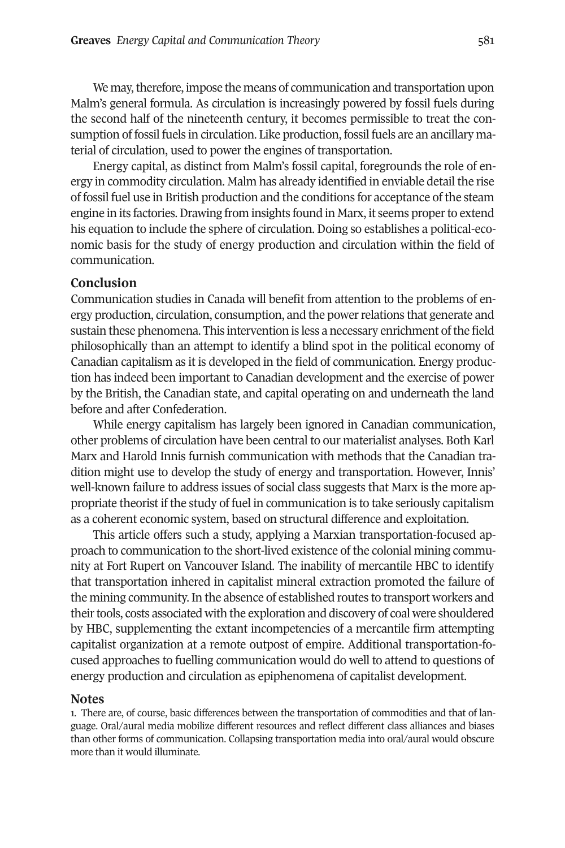We may, therefore, impose the means of communication and transportation upon Malm's general formula. As circulation is increasingly powered by fossil fuels during the second half of the nineteenth century, it becomes permissible to treat the consumption of fossil fuels in circulation. Like production, fossil fuels are an ancillary material of circulation, used to power the engines of transportation.

Energy capital, as distinct from Malm's fossil capital, foregrounds the role of energy in commodity circulation. Malm has already identified in enviable detail the rise of fossil fuel use in British production and the conditions for acceptance of the steam engine in its factories.Drawing from insights found in Marx, it seems properto extend his equation to include the sphere of circulation. Doing so establishes a political-economic basis for the study of energy production and circulation within the field of communication.

### **Conclusion**

Communication studies in Canada will benefit from attention to the problems of energy production, circulation, consumption, and the powerrelations that generate and sustain these phenomena. This intervention is less a necessary enrichment of the field philosophically than an attempt to identify a blind spot in the political economy of Canadian capitalism as it is developed in the field of communication. Energy production has indeed been important to Canadian development and the exercise of power by the British, the Canadian state, and capital operating on and underneath the land before and after Confederation.

While energy capitalism has largely been ignored in Canadian communication, other problems of circulation have been central to our materialist analyses. Both Karl Marx and Harold Innis furnish communication with methods that the Canadian tradition might use to develop the study of energy and transportation. However, Innis' well-known failure to address issues of social class suggests that Marx is the more appropriate theorist if the study of fuel in communication is to take seriously capitalism as a coherent economic system, based on structural difference and exploitation.

This article offers such a study, applying a Marxian transportation-focused approach to communication to the short-lived existence of the colonial mining community at Fort Rupert on Vancouver Island. The inability of mercantile HBC to identify that transportation inhered in capitalist mineral extraction promoted the failure of the mining community. In the absence of established routes to transport workers and their tools, costs associated with the exploration and discovery of coal were shouldered by HBC, supplementing the extant incompetencies of a mercantile firm attempting capitalist organization at a remote outpost of empire. Additional transportation-focused approaches to fuelling communication would do well to attend to questions of energy production and circulation as epiphenomena of capitalist development.

#### **Notes**

1. There are, of course, basic differences between the transportation of commodities and that of language. Oral/aural media mobilize different resources and reflect different class alliances and biases than other forms of communication. Collapsing transportation media into oral/aural would obscure more than it would illuminate.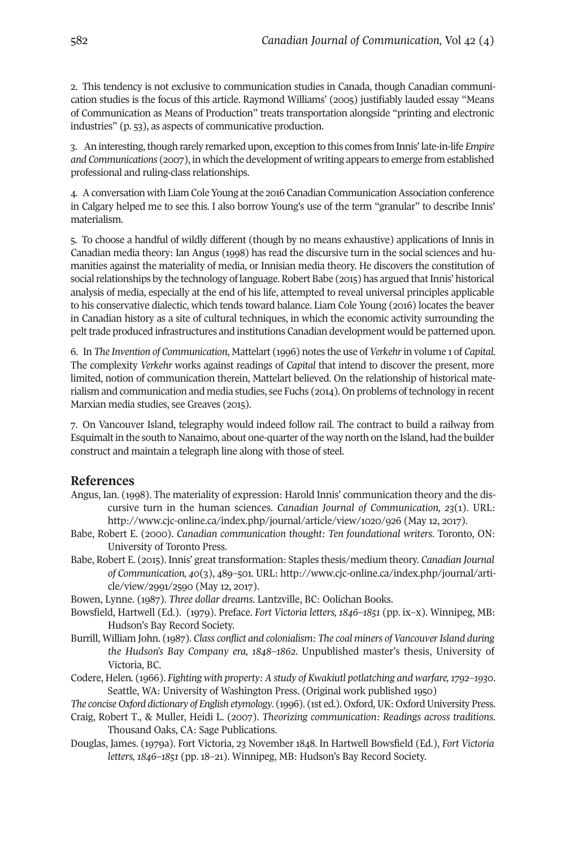<span id="page-17-0"></span>2. This tendency is not exclusive to communication studies in Canada, though Canadian communication studies is the focus of this article. Raymond Williams' (2005) justifiably lauded essay "Means of Communication as Means of Production" treats transportation alongside "printing and electronic industries" (p. 53), as aspects of communicative production.

<span id="page-17-1"></span>3. An interesting,though rarely remarked upon, exception to this comes from Innis' late-in-life *Empire and Communications* (2007), in which the development of writing appears to emerge from established professional and ruling-class relationships.

<span id="page-17-2"></span>4. A conversation with Liam Cole Young at the 2016 Canadian Communication Association conference in Calgary helped me to see this. I also borrow Young's use of the term "granular" to describe Innis' materialism.

<span id="page-17-3"></span>5. To choose a handful of wildly different (though by no means exhaustive) applications of Innis in Canadian media theory: Ian Angus (1998) has read the discursive turn in the social sciences and humanities against the materiality of media, or Innisian media theory. He discovers the constitution of social relationships by the technology of language. Robert Babe (2015) has argued that Innis' historical analysis of media, especially at the end of his life, attempted to reveal universal principles applicable to his conservative dialectic, which tends toward balance. Liam Cole Young (2016) locates the beaver in Canadian history as a site of cultural techniques, in which the economic activity surrounding the pelttrade produced infrastructures and institutions Canadian development would be patterned upon.

<span id="page-17-4"></span>6. In *The Invention of Communication*, Mattelart (1996) notes the use of *Verkehr*in volume 1 of *Capital*. The complexity *Verkehr* works against readings of *Capital* that intend to discover the present, more limited, notion of communication therein, Mattelart believed. On the relationship of historical materialism and communication and media studies, see Fuchs (2014). On problems oftechnology in recent Marxian media studies, see Greaves (2015).

<span id="page-17-5"></span>7. On Vancouver Island, telegraphy would indeed follow rail. The contract to build a railway from Esquimaltin the south to Nanaimo, about one-quarter ofthe way north on the Island, had the builder construct and maintain a telegraph line along with those of steel.

#### **References**

- Angus, Ian. (1998). The materiality of expression: Harold Innis' communication theory and the discursive turn in the human sciences. *Canadian Journal of Communication, 23*(1). URL: <http://www.cjc-online.ca/index.php/journal/article/view/1020/926> (May 12, 2017).
- Babe, Robert E. (2000). *Canadian communication thought: Ten foundational writers*. Toronto, ON: University of Toronto Press.
- Babe, Robert E. (2015). Innis' great transformation: Staples thesis/medium theory. *Canadian Journal of Communication, 40*(3), 489–501. URL: [http://www.cjc-online.ca/index.php/journal/arti](http://www.cjc-online.ca/index.php/journal/article/view/2991/2590)[cle/view/2991/2590](http://www.cjc-online.ca/index.php/journal/article/view/2991/2590) (May 12, 2017).

Bowen, Lynne. (1987). *Three dollar dreams*. Lantzville, BC: Oolichan Books.

Bowsfield, Hartwell (Ed.). (1979). Preface. *Fort Victoria letters, 1846–1851* (pp. ix–x). Winnipeg, MB: Hudson's Bay Record Society.

- Burrill, William John. (1987). *Class conflict and colonialism: The coal miners of VancouverIsland during the Hudson's Bay Company era, 1848–1862.* Unpublished master's thesis, University of Victoria, BC.
- Codere, Helen*.* (1966). *Fighting with property: A study of Kwakiutl potlatching and warfare,1792–1930*. Seattle, WA: University of Washington Press. (Original work published 1950)

*The concise Oxford dictionary of English etymology*. (1996). (1st ed.). Oxford,UK: OxfordUniversity Press.

- Craig, Robert T., & Muller, Heidi L. (2007). *Theorizing communication: Readings across traditions*. Thousand Oaks, CA: Sage Publications.
- Douglas, James. (1979a). Fort Victoria, 23 November 1848. In Hartwell Bowsfield (Ed.), *Fort Victoria letters, 1846–1851* (pp. 18–21). Winnipeg, MB: Hudson's Bay Record Society.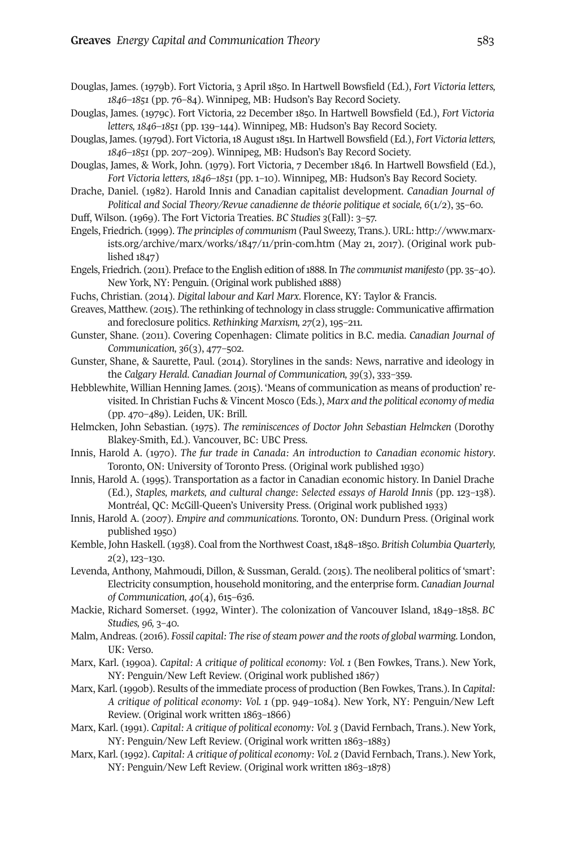- Douglas, James. (1979b). Fort Victoria, 3 April 1850. In Hartwell Bowsfield (Ed.), *Fort Victoria letters, 1846–1851* (pp. 76–84). Winnipeg, MB: Hudson's Bay Record Society.
- Douglas, James. (1979c). Fort Victoria, 22 December 1850. In Hartwell Bowsfield (Ed.), *Fort Victoria letters, 1846–1851* (pp. 139–144). Winnipeg, MB: Hudson's Bay Record Society.
- Douglas, James. (1979d). Fort Victoria,18 August1851. In Hartwell Bowsfield (Ed.), *Fort Victoria letters, 1846–1851* (pp. 207–209). Winnipeg, MB: Hudson's Bay Record Society.
- Douglas, James, & Work, John. (1979). Fort Victoria, 7 December 1846. In Hartwell Bowsfield (Ed.), *Fort Victoria letters, 1846–1851* (pp. 1–10). Winnipeg, MB: Hudson's Bay Record Society.
- Drache, Daniel. (1982). Harold Innis and Canadian capitalist development. *Canadian Journal of Political and Social Theory/Revue canadienne de théorie politique et sociale, 6*(1/2), 35–60.
- Duff, Wilson. (1969). The Fort Victoria Treaties. *BC Studies 3*(Fall): 3–57.
- Engels, Friedrich. (1999). *The principles of communism* (Paul Sweezy, Trans.). URL: [http://www.marx](http://www.marxists.org/archive/marx/works/1847/11/prin-com.htm)[ists.org/archive/marx/works/1847/11/prin-com.htm](http://www.marxists.org/archive/marx/works/1847/11/prin-com.htm) (May 21, 2017). (Original work published 1847)
- Engels, Friedrich. (2011). Preface to the English edition of1888. In *The communist manifesto* (pp. 35–40). New York, NY: Penguin. (Original work published 1888)
- Fuchs, Christian. (2014). *Digital labour and Karl Marx*. Florence, KY: Taylor & Francis.

Greaves, Matthew. (2015). The rethinking of technology in class struggle: Communicative affirmation and foreclosure politics. *Rethinking Marxism, 27*(2), 195–211.

- Gunster, Shane. (2011). Covering Copenhagen: Climate politics in B.C. media. *Canadian Journal of Communication, 36*(3), 477–502.
- Gunster, Shane, & Saurette, Paul. (2014). Storylines in the sands: News, narrative and ideology in the *Calgary Herald*. *Canadian Journal of Communication, 39*(3), 333–359.
- Hebblewhite, Willian Henning James. (2015). 'Means of communication as means of production' revisited. In Christian Fuchs & Vincent Mosco (Eds.), *Marx and the political economy of media* (pp. 470–489). Leiden, UK: Brill.
- Helmcken, John Sebastian. (1975). *The reminiscences of Doctor John Sebastian Helmcken* (Dorothy Blakey-Smith, Ed.). Vancouver, BC: UBC Press.
- Innis, Harold A. (1970). *The fur trade in Canada: An introduction to Canadian economic history*. Toronto, ON: University of Toronto Press. (Original work published 1930)
- Innis, Harold A. (1995). Transportation as a factor in Canadian economic history. In Daniel Drache (Ed.), *Staples, markets, and cultural change*: *Selected essays of Harold Innis* (pp. 123–138). Montréal, QC: McGill-Queen's University Press. (Original work published 1933)
- Innis, Harold A. (2007). *Empire and communications*. Toronto, ON: Dundurn Press. (Original work published 1950)
- Kemble, John Haskell. (1938). Coal from the Northwest Coast,1848–1850. *British Columbia Quarterly, 2*(2), 123–130.
- Levenda, Anthony, Mahmoudi, Dillon, & Sussman, Gerald. (2015). The neoliberal politics of 'smart': Electricity consumption, household monitoring, and the enterprise form. *Canadian Journal of Communication, 40*(4), 615–636.
- Mackie, Richard Somerset. (1992, Winter). The colonization of Vancouver Island, 1849–1858. *BC Studies, 96,* 3–40.
- Malm, Andreas. (2016). *Fossil capital: The rise ofsteam power and the roots of global warming*. London, UK: Verso.
- Marx, Karl. (1990a). *Capital: A critique of political economy: Vol. 1* (Ben Fowkes, Trans.). New York, NY: Penguin/New Left Review. (Original work published 1867)
- Marx, Karl. (1990b). Results of the immediate process of production (Ben Fowkes, Trans.). In *Capital: A critique of political economy*: *Vol. 1* (pp. 949–1084). New York, NY: Penguin/New Left Review. (Original work written 1863–1866)
- Marx, Karl. (1991). *Capital: A critique of political economy: Vol. 3* (David Fernbach, Trans.). New York, NY: Penguin/New Left Review. (Original work written 1863–1883)
- Marx, Karl. (1992). *Capital: A critique of political economy: Vol. 2* (David Fernbach, Trans.). New York, NY: Penguin/New Left Review. (Original work written 1863–1878)